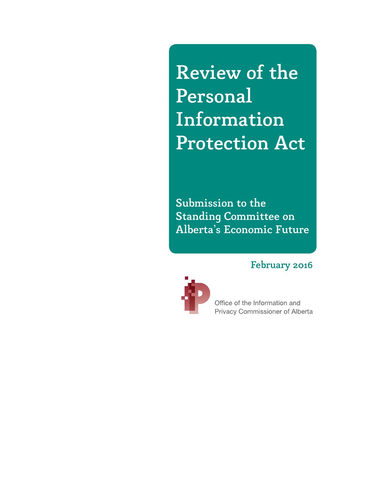Review of the Personal Information Protection Act

Submission to the Standing Committee on Alberta's Economic Future

## February 2016



Office of the Information and Privacy Commissioner of Alberta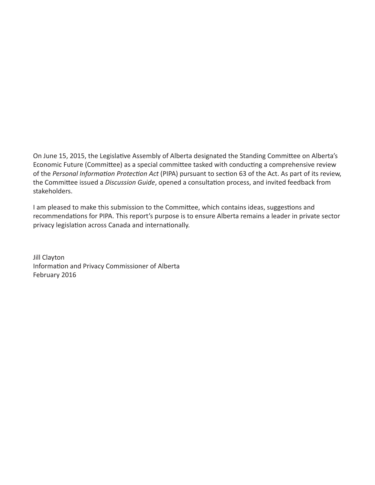On June 15, 2015, the Legislative Assembly of Alberta designated the Standing Committee on Alberta's Economic Future (Committee) as a special committee tasked with conducting a comprehensive review of the *Personal Information Protection Act* (PIPA) pursuant to section 63 of the Act. As part of its review, the Committee issued a *Discussion Guide*, opened a consultation process, and invited feedback from stakeholders.

I am pleased to make this submission to the Committee, which contains ideas, suggestions and recommendations for PIPA. This report's purpose is to ensure Alberta remains a leader in private sector privacy legislation across Canada and internationally.

Jill Clayton Information and Privacy Commissioner of Alberta February 2016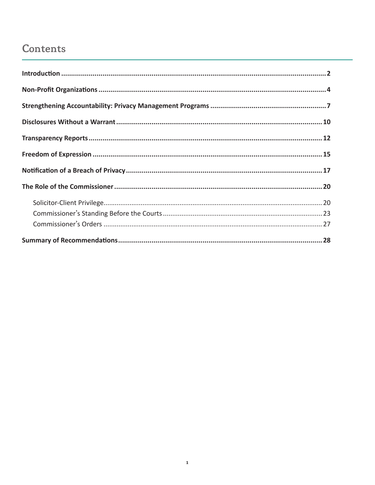# Contents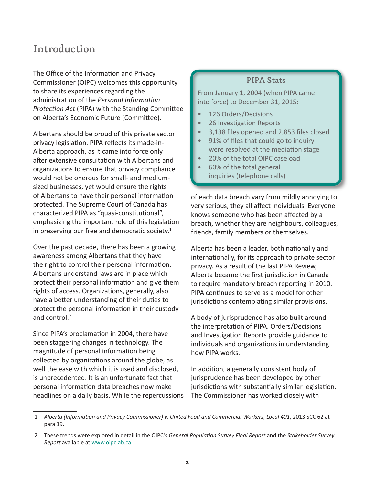# <span id="page-3-0"></span>Introduction

The Office of the Information and Privacy Commissioner (OIPC) welcomes this opportunity to share its experiences regarding the administration of the *Personal Information Protection Act* (PIPA) with the Standing Committee on Alberta's Economic Future (Committee).

Albertans should be proud of this private sector privacy legislation. PIPA reflects its made-in-Alberta approach, as it came into force only after extensive consultation with Albertans and organizations to ensure that privacy compliance would not be onerous for small- and mediumsized businesses, yet would ensure the rights of Albertans to have their personal information protected. The Supreme Court of Canada has characterized PIPA as "quasi-constitutional", emphasizing the important role of this legislation in preserving our free and democratic society. $1$ 

Over the past decade, there has been a growing awareness among Albertans that they have the right to control their personal information. Albertans understand laws are in place which protect their personal information and give them rights of access. Organizations, generally, also have a better understanding of their duties to protect the personal information in their custody and control.<sup>2</sup>

Since PIPA's proclamation in 2004, there have been staggering changes in technology. The magnitude of personal information being collected by organizations around the globe, as well the ease with which it is used and disclosed, is unprecedented. It is an unfortunate fact that personal information data breaches now make headlines on a daily basis. While the repercussions

#### PIPA Stats

From January 1, 2004 (when PIPA came into force) to December 31, 2015:

- 126 Orders/Decisions
- 26 Investigation Reports
- 3,138 files opened and 2,853 files closed
- 91% of files that could go to inquiry were resolved at the mediation stage
- 20% of the total OIPC caseload
- 60% of the total general inquiries (telephone calls)

of each data breach vary from mildly annoying to very serious, they all affect individuals. Everyone knows someone who has been affected by a breach, whether they are neighbours, colleagues, friends, family members or themselves.

Alberta has been a leader, both nationally and internationally, for its approach to private sector privacy. As a result of the last PIPA Review, Alberta became the first jurisdiction in Canada to require mandatory breach reporting in 2010. PIPA continues to serve as a model for other jurisdictions contemplating similar provisions.

A body of jurisprudence has also built around the interpretation of PIPA. Orders/Decisions and Investigation Reports provide guidance to individuals and organizations in understanding how PIPA works.

In addition, a generally consistent body of jurisprudence has been developed by other jurisdictions with substantially similar legislation. The Commissioner has worked closely with

 <sup>1</sup> *Alberta (Information and Privacy Commissioner) v. United Food and Commercial Workers, Local 401*, 2013 SCC 62 at para 19.

 <sup>2</sup> These trends were explored in detail in the OIPC's *General Population Survey Final Report* and the *Stakeholder Survey Report* available at [www.oipc.ab.ca](https://www.oipc.ab.ca/).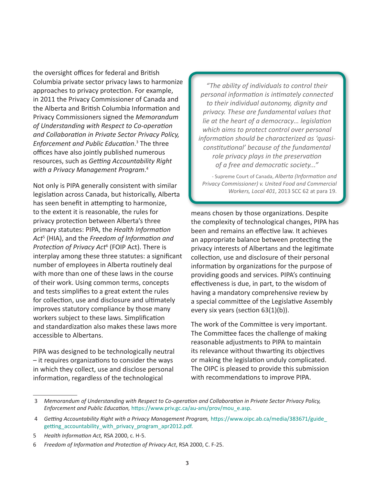the oversight offices for federal and British Columbia private sector privacy laws to harmonize approaches to privacy protection. For example, in 2011 the Privacy Commissioner of Canada and the Alberta and British Columbia Information and Privacy Commissioners signed the *Memorandum of Understanding with Respect to Co-operation and Collaboration in Private Sector Privacy Policy, Enforcement and Public Education*. 3 The three offices have also jointly published numerous resources, such as *Getting Accountability Right with a Privacy Management Program*. 4

Not only is PIPA generally consistent with similar legislation across Canada, but historically, Alberta has seen benefit in attempting to harmonize, to the extent it is reasonable, the rules for privacy protection between Alberta's three primary statutes: PIPA, the *Health Information Act*<sup>5</sup> (HIA), and the *Freedom of Information and Protection of Privacy Act*<sup>6</sup> (FOIP Act). There is interplay among these three statutes: a significant number of employees in Alberta routinely deal with more than one of these laws in the course of their work. Using common terms, concepts and tests simplifies to a great extent the rules for collection, use and disclosure and ultimately improves statutory compliance by those many workers subject to these laws. Simplification and standardization also makes these laws more accessible to Albertans.

PIPA was designed to be technologically neutral – it requires organizations to consider the ways in which they collect, use and disclose personal information, regardless of the technological

*"The ability of individuals to control their personal information is intimately connected to their individual autonomy, dignity and privacy. These are fundamental values that lie at the heart of a democracy… legislation which aims to protect control over personal information should be characterized as 'quasiconstitutional' because of the fundamental role privacy plays in the preservation of a free and democratic society..."*

- Supreme Court of Canada, *Alberta (Information and Privacy Commissioner) v. United Food and Commercial Workers, Local 401*, 2013 SCC 62 at para 19.

means chosen by those organizations. Despite the complexity of technological changes, PIPA has been and remains an effective law. It achieves an appropriate balance between protecting the privacy interests of Albertans and the legitimate collection, use and disclosure of their personal information by organizations for the purpose of providing goods and services. PIPA's continuing effectiveness is due, in part, to the wisdom of having a mandatory comprehensive review by a special committee of the Legislative Assembly every six years (section 63(1)(b)).

The work of the Committee is very important. The Committee faces the challenge of making reasonable adjustments to PIPA to maintain its relevance without thwarting its objectives or making the legislation unduly complicated. The OIPC is pleased to provide this submission with recommendations to improve PIPA.

 <sup>3</sup> *Memorandum of Understanding with Respect to Co-operation and Collaboration in Private Sector Privacy Policy, Enforcement and Public Education,* [https://www.priv.gc.ca/au-ans/prov/mou\\_e.asp](https://www.priv.gc.ca/au-ans/prov/mou_e.asp).

 <sup>4</sup> *Getting Accountability Right with a Privacy Management Program,* [https://www.oipc.ab.ca/media/383671/guide\\_](https://www.oipc.ab.ca/media/383671/guide_getting_accountability_with_privacy_program_apr2012.pdf) [getting\\_accountability\\_with\\_privacy\\_program\\_apr2012.pdf.](https://www.oipc.ab.ca/media/383671/guide_getting_accountability_with_privacy_program_apr2012.pdf)

<sup>5</sup> *Health Information Act,* RSA 2000, c. H-5.

<sup>6</sup> *Freedom of Information and Protection of Privacy Act*, RSA 2000, C. F-25.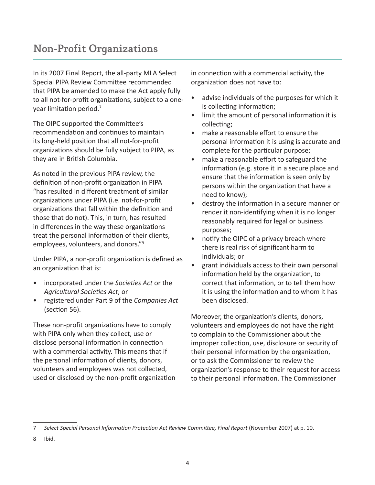<span id="page-5-0"></span>In its 2007 Final Report, the all-party MLA Select Special PIPA Review Committee recommended that PIPA be amended to make the Act apply fully to all not-for-profit organizations, subject to a oneyear limitation period.<sup>7</sup>

The OIPC supported the Committee's recommendation and continues to maintain its long-held position that all not-for-profit organizations should be fully subject to PIPA, as they are in British Columbia.

As noted in the previous PIPA review, the definition of non-profit organization in PIPA "has resulted in different treatment of similar organizations under PIPA (i.e. not-for-profit organizations that fall within the definition and those that do not). This, in turn, has resulted in differences in the way these organizations treat the personal information of their clients, employees, volunteers, and donors."9

Under PIPA, a non-profit organization is defined as an organization that is:

- incorporated under the *Societies Act* or the *Agricultural Societies Act*; or
- registered under Part 9 of the *Companies Act* (section 56).

These non-profit organizations have to comply with PIPA only when they collect, use or disclose personal information in connection with a commercial activity. This means that if the personal information of clients, donors, volunteers and employees was not collected, used or disclosed by the non-profit organization in connection with a commercial activity, the organization does not have to:

- advise individuals of the purposes for which it is collecting information;
- limit the amount of personal information it is collecting;
- make a reasonable effort to ensure the personal information it is using is accurate and complete for the particular purpose;
- make a reasonable effort to safeguard the information (e.g. store it in a secure place and ensure that the information is seen only by persons within the organization that have a need to know);
- destroy the information in a secure manner or render it non-identifying when it is no longer reasonably required for legal or business purposes;
- notify the OIPC of a privacy breach where there is real risk of significant harm to individuals; or
- grant individuals access to their own personal information held by the organization, to correct that information, or to tell them how it is using the information and to whom it has been disclosed.

Moreover, the organization's clients, donors, volunteers and employees do not have the right to complain to the Commissioner about the improper collection, use, disclosure or security of their personal information by the organization, or to ask the Commissioner to review the organization's response to their request for access to their personal information. The Commissioner

<sup>7</sup> *Select Special Personal Information Protection Act Review Committee, Final Report* (November 2007) at p. 10.

<sup>8</sup> Ibid.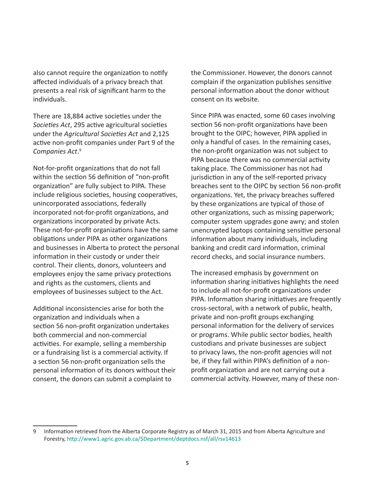also cannot require the organization to notify affected individuals of a privacy breach that presents a real risk of significant harm to the individuals.

There are 18,884 active societies under the *Societies Act*, 295 active agricultural societies under the *Agricultural Societies Act* and 2,125 active non-profit companies under Part 9 of the *Companies Act*. 9

Not-for-profit organizations that do not fall within the section 56 definition of "non-profit organization" are fully subject to PIPA. These include religious societies, housing cooperatives, unincorporated associations, federally incorporated not-for-profit organizations, and organizations incorporated by private Acts. These not-for-profit organizations have the same obligations under PIPA as other organizations and businesses in Alberta to protect the personal information in their custody or under their control. Their clients, donors, volunteers and employees enjoy the same privacy protections and rights as the customers, clients and employees of businesses subject to the Act.

Additional inconsistencies arise for both the organization and individuals when a section 56 non-profit organization undertakes both commercial and non-commercial activities. For example, selling a membership or a fundraising list is a commercial activity. If a section 56 non-profit organization sells the personal information of its donors without their consent, the donors can submit a complaint to

the Commissioner. However, the donors cannot complain if the organization publishes sensitive personal information about the donor without consent on its website.

Since PIPA was enacted, some 60 cases involving section 56 non-profit organizations have been brought to the OIPC; however, PIPA applied in only a handful of cases. In the remaining cases, the non-profit organization was not subject to PIPA because there was no commercial activity taking place. The Commissioner has not had jurisdiction in any of the self-reported privacy breaches sent to the OIPC by section 56 non-profit organizations. Yet, the privacy breaches suffered by these organizations are typical of those of other organizations, such as missing paperwork; computer system upgrades gone awry; and stolen unencrypted laptops containing sensitive personal information about many individuals, including banking and credit card information, criminal record checks, and social insurance numbers.

The increased emphasis by government on information sharing initiatives highlights the need to include all not-for-profit organizations under PIPA. Information sharing initiatives are frequently cross-sectoral, with a network of public, health, private and non-profit groups exchanging personal information for the delivery of services or programs. While public sector bodies, health custodians and private businesses are subject to privacy laws, the non-profit agencies will not be, if they fall within PIPA's definition of a nonprofit organization and are not carrying out a commercial activity. However, many of these non-

<sup>9</sup> Information retrieved from the Alberta Corporate Registry as of March 31, 2015 and from Alberta Agriculture and Forestry, [http://www1.agric.gov.ab.ca/\\$Department/deptdocs.nsf/all/rsv14613](http://www1.agric.gov.ab.ca/$Department/deptdocs.nsf/all/rsv14613)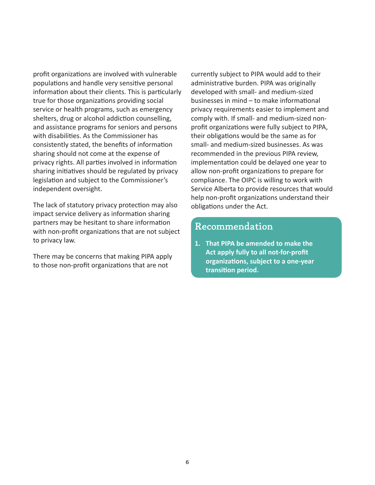profit organizations are involved with vulnerable populations and handle very sensitive personal information about their clients. This is particularly true for those organizations providing social service or health programs, such as emergency shelters, drug or alcohol addiction counselling, and assistance programs for seniors and persons with disabilities. As the Commissioner has consistently stated, the benefits of information sharing should not come at the expense of privacy rights. All parties involved in information sharing initiatives should be regulated by privacy legislation and subject to the Commissioner's independent oversight.

The lack of statutory privacy protection may also impact service delivery as information sharing partners may be hesitant to share information with non-profit organizations that are not subject to privacy law.

There may be concerns that making PIPA apply to those non-profit organizations that are not

currently subject to PIPA would add to their administrative burden. PIPA was originally developed with small- and medium-sized businesses in mind – to make informational privacy requirements easier to implement and comply with. If small- and medium-sized nonprofit organizations were fully subject to PIPA, their obligations would be the same as for small- and medium-sized businesses. As was recommended in the previous PIPA review, implementation could be delayed one year to allow non-profit organizations to prepare for compliance. The OIPC is willing to work with Service Alberta to provide resources that would help non-profit organizations understand their obligations under the Act.

### Recommendation

**1. That PIPA be amended to make the Act apply fully to all not-for-profit organizations, subject to a one-year transition period.**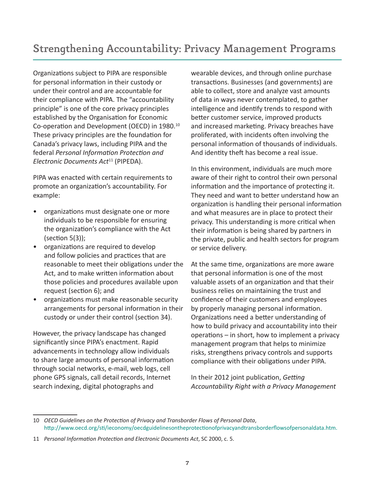<span id="page-8-0"></span>Organizations subject to PIPA are responsible for personal information in their custody or under their control and are accountable for their compliance with PIPA. The "accountability principle" is one of the core privacy principles established by the Organisation for Economic Co-operation and Development (OECD) in 1980.<sup>10</sup> These privacy principles are the foundation for Canada's privacy laws, including PIPA and the federal *Personal Information Protection and Electronic Documents Act*<sup>11</sup> (PIPEDA).

PIPA was enacted with certain requirements to promote an organization's accountability. For example:

- organizations must designate one or more individuals to be responsible for ensuring the organization's compliance with the Act  $(section 5(3))$ ;
- organizations are required to develop and follow policies and practices that are reasonable to meet their obligations under the Act, and to make written information about those policies and procedures available upon request (section 6); and
- organizations must make reasonable security arrangements for personal information in their custody or under their control (section 34).

However, the privacy landscape has changed significantly since PIPA's enactment. Rapid advancements in technology allow individuals to share large amounts of personal information through social networks, e-mail, web logs, cell phone GPS signals, call detail records, Internet search indexing, digital photographs and

wearable devices, and through online purchase transactions. Businesses (and governments) are able to collect, store and analyze vast amounts of data in ways never contemplated, to gather intelligence and identify trends to respond with better customer service, improved products and increased marketing. Privacy breaches have proliferated, with incidents often involving the personal information of thousands of individuals. And identity theft has become a real issue.

In this environment, individuals are much more aware of their right to control their own personal information and the importance of protecting it. They need and want to better understand how an organization is handling their personal information and what measures are in place to protect their privacy. This understanding is more critical when their information is being shared by partners in the private, public and health sectors for program or service delivery.

At the same time, organizations are more aware that personal information is one of the most valuable assets of an organization and that their business relies on maintaining the trust and confidence of their customers and employees by properly managing personal information. Organizations need a better understanding of how to build privacy and accountability into their operations – in short, how to implement a privacy management program that helps to minimize risks, strengthens privacy controls and supports compliance with their obligations under PIPA.

In their 2012 joint publication, *Getting Accountability Right with a Privacy Management* 

<sup>10</sup> *OECD Guidelines on the Protection of Privacy and Transborder Flows of Personal Data*, <http://www.oecd.org/sti/ieconomy/oecdguidelinesontheprotectionofprivacyandtransborderflowsofpersonaldata.htm>.

<sup>11</sup> *Personal Information Protection and Electronic Documents Act*, SC 2000, c. 5.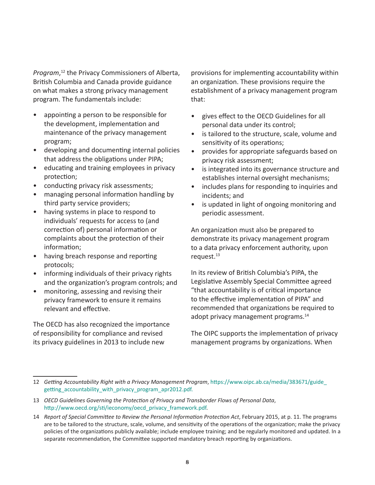*Program*, <sup>12</sup> the Privacy Commissioners of Alberta, British Columbia and Canada provide guidance on what makes a strong privacy management program. The fundamentals include:

- appointing a person to be responsible for the development, implementation and maintenance of the privacy management program;
- developing and documenting internal policies that address the obligations under PIPA;
- educating and training employees in privacy protection;
- conducting privacy risk assessments;
- managing personal information handling by third party service providers;
- having systems in place to respond to individuals' requests for access to (and correction of) personal information or complaints about the protection of their information;
- having breach response and reporting protocols;
- informing individuals of their privacy rights and the organization's program controls; and
- monitoring, assessing and revising their privacy framework to ensure it remains relevant and effective.

The OECD has also recognized the importance of responsibility for compliance and revised its privacy guidelines in 2013 to include new

provisions for implementing accountability within an organization. These provisions require the establishment of a privacy management program that:

- gives effect to the OECD Guidelines for all personal data under its control;
- is tailored to the structure, scale, volume and sensitivity of its operations;
- provides for appropriate safeguards based on privacy risk assessment;
- is integrated into its governance structure and establishes internal oversight mechanisms;
- includes plans for responding to inquiries and incidents; and
- is updated in light of ongoing monitoring and periodic assessment.

An organization must also be prepared to demonstrate its privacy management program to a data privacy enforcement authority, upon request.<sup>13</sup>

In its review of British Columbia's PIPA, the Legislative Assembly Special Committee agreed "that accountability is of critical importance to the effective implementation of PIPA" and recommended that organizations be required to adopt privacy management programs.<sup>14</sup>

The OIPC supports the implementation of privacy management programs by organizations. When

<sup>12</sup> *Getting Accountability Right with a Privacy Management Program*, [https://www.oipc.ab.ca/media/383671/guide\\_](https://www.oipc.ab.ca/media/383671/guide_getting_accountability_with_privacy_program_apr2012.pdf) [getting\\_accountability\\_with\\_privacy\\_program\\_apr2012.pdf.](https://www.oipc.ab.ca/media/383671/guide_getting_accountability_with_privacy_program_apr2012.pdf)

<sup>13</sup> *OECD Guidelines Governing the Protection of Privacy and Transborder Flows of Personal Data*, [http://www.oecd.org/sti/ieconomy/oecd\\_privacy\\_framework.pdf](http://www.oecd.org/sti/ieconomy/oecd_privacy_framework.pdf).

<sup>14</sup> *Report of Special Committee to Review the Personal Information Protection Act*, February 2015, at p. 11. The programs are to be tailored to the structure, scale, volume, and sensitivity of the operations of the organization; make the privacy policies of the organizations publicly available; include employee training; and be regularly monitored and updated. In a separate recommendation, the Committee supported mandatory breach reporting by organizations.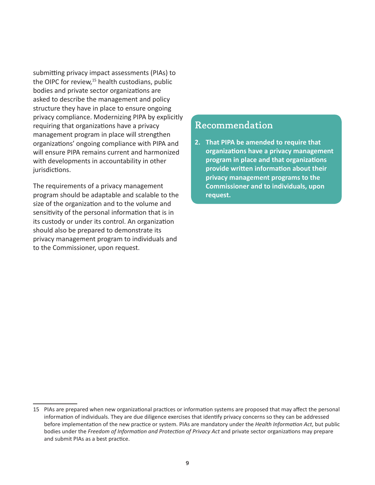submitting privacy impact assessments (PIAs) to the OIPC for review,<sup>15</sup> health custodians, public bodies and private sector organizations are asked to describe the management and policy structure they have in place to ensure ongoing privacy compliance. Modernizing PIPA by explicitly requiring that organizations have a privacy management program in place will strengthen organizations' ongoing compliance with PIPA and will ensure PIPA remains current and harmonized with developments in accountability in other jurisdictions.

The requirements of a privacy management program should be adaptable and scalable to the size of the organization and to the volume and sensitivity of the personal information that is in its custody or under its control. An organization should also be prepared to demonstrate its privacy management program to individuals and to the Commissioner, upon request.

## Recommendation

**2. That PIPA be amended to require that organizations have a privacy management program in place and that organizations provide written information about their privacy management programs to the Commissioner and to individuals, upon request.**

<sup>15</sup> PIAs are prepared when new organizational practices or information systems are proposed that may affect the personal information of individuals. They are due diligence exercises that identify privacy concerns so they can be addressed before implementation of the new practice or system. PIAs are mandatory under the *Health Information Act*, but public bodies under the *Freedom of Information and Protection of Privacy Act* and private sector organizations may prepare and submit PIAs as a best practice.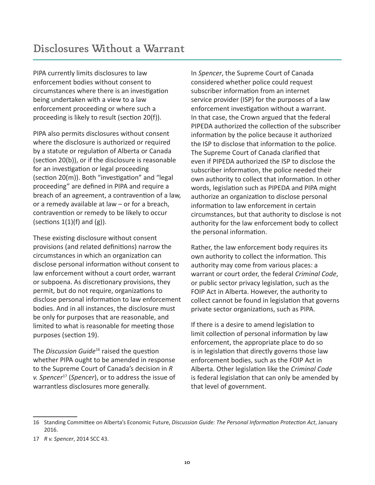<span id="page-11-0"></span>PIPA currently limits disclosures to law enforcement bodies without consent to circumstances where there is an investigation being undertaken with a view to a law enforcement proceeding or where such a proceeding is likely to result (section 20(f)).

PIPA also permits disclosures without consent where the disclosure is authorized or required by a statute or regulation of Alberta or Canada (section 20(b)), or if the disclosure is reasonable for an investigation or legal proceeding (section 20(m)). Both "investigation" and "legal proceeding" are defined in PIPA and require a breach of an agreement, a contravention of a law, or a remedy available at law – or for a breach, contravention or remedy to be likely to occur (sections  $1(1)(f)$  and  $(g)$ ).

These existing disclosure without consent provisions (and related definitions) narrow the circumstances in which an organization can disclose personal information without consent to law enforcement without a court order, warrant or subpoena. As discretionary provisions, they permit, but do not require, organizations to disclose personal information to law enforcement bodies. And in all instances, the disclosure must be only for purposes that are reasonable, and limited to what is reasonable for meeting those purposes (section 19).

The *Discussion Guide*16 raised the question whether PIPA ought to be amended in response to the Supreme Court of Canada's decision in *R v. Spencer*<sup>17</sup> (*Spencer*), or to address the issue of warrantless disclosures more generally.

In *Spencer*, the Supreme Court of Canada considered whether police could request subscriber information from an internet service provider (ISP) for the purposes of a law enforcement investigation without a warrant. In that case, the Crown argued that the federal PIPEDA authorized the collection of the subscriber information by the police because it authorized the ISP to disclose that information to the police. The Supreme Court of Canada clarified that even if PIPEDA authorized the ISP to disclose the subscriber information, the police needed their own authority to collect that information. In other words, legislation such as PIPEDA and PIPA might authorize an organization to disclose personal information to law enforcement in certain circumstances, but that authority to disclose is not authority for the law enforcement body to collect the personal information.

Rather, the law enforcement body requires its own authority to collect the information. This authority may come from various places: a warrant or court order, the federal *Criminal Code*, or public sector privacy legislation, such as the FOIP Act in Alberta. However, the authority to collect cannot be found in legislation that governs private sector organizations, such as PIPA.

If there is a desire to amend legislation to limit collection of personal information by law enforcement, the appropriate place to do so is in legislation that directly governs those law enforcement bodies, such as the FOIP Act in Alberta. Other legislation like the *Criminal Code* is federal legislation that can only be amended by that level of government.

<sup>16</sup> Standing Committee on Alberta's Economic Future, *Discussion Guide: The Personal Information Protection Act*, January 2016.

<sup>17</sup> *R v. Spencer*, 2014 SCC 43.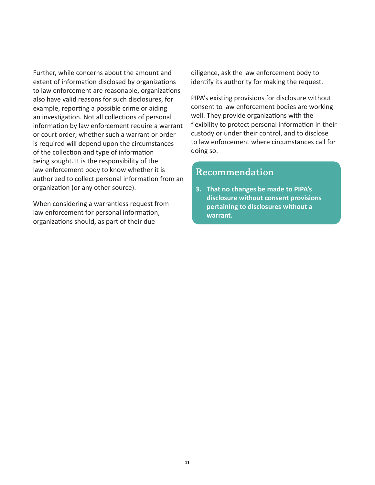Further, while concerns about the amount and extent of information disclosed by organizations to law enforcement are reasonable, organizations also have valid reasons for such disclosures, for example, reporting a possible crime or aiding an investigation. Not all collections of personal information by law enforcement require a warrant or court order; whether such a warrant or order is required will depend upon the circumstances of the collection and type of information being sought. It is the responsibility of the law enforcement body to know whether it is authorized to collect personal information from an organization (or any other source).

When considering a warrantless request from law enforcement for personal information, organizations should, as part of their due

diligence, ask the law enforcement body to identify its authority for making the request.

PIPA's existing provisions for disclosure without consent to law enforcement bodies are working well. They provide organizations with the flexibility to protect personal information in their custody or under their control, and to disclose to law enforcement where circumstances call for doing so.

## Recommendation

**3. That no changes be made to PIPA's disclosure without consent provisions pertaining to disclosures without a warrant.**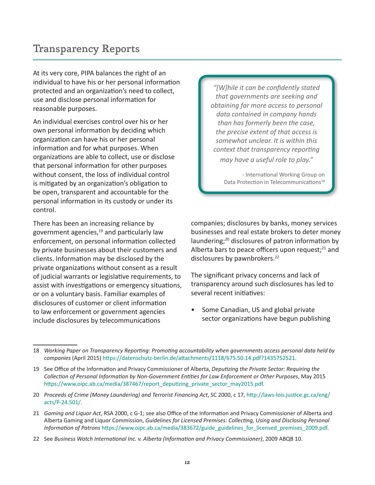# <span id="page-13-0"></span>Transparency Reports

At its very core, PIPA balances the right of an individual to have his or her personal information protected and an organization's need to collect, use and disclose personal information for reasonable purposes.

An individual exercises control over his or her own personal information by deciding which organization can have his or her personal information and for what purposes. When organizations are able to collect, use or disclose that personal information for other purposes without consent, the loss of individual control is mitigated by an organization's obligation to be open, transparent and accountable for the personal information in its custody or under its control.

There has been an increasing reliance by government agencies,<sup>19</sup> and particularly law enforcement, on personal information collected by private businesses about their customers and clients. Information may be disclosed by the private organizations without consent as a result of judicial warrants or legislative requirements, to assist with investigations or emergency situations, or on a voluntary basis. Familiar examples of disclosures of customer or client information to law enforcement or government agencies include disclosures by telecommunications

*"[W]hile it can be confidently stated that governments are seeking and obtaining far more access to personal data contained in company hands than has formerly been the case, the precise extent of that access is somewhat unclear. It is within this context that transparency reporting may have a useful role to play."*

> - International Working Group on Data Protection in Telecommunications<sup>18</sup>

companies; disclosures by banks, money services businesses and real estate brokers to deter money laundering;<sup>20</sup> disclosures of patron information by Alberta bars to peace officers upon request; $^{21}$  and disclosures by pawnbrokers.<sup>22</sup>

The significant privacy concerns and lack of transparency around such disclosures has led to several recent initiatives:

Some Canadian, US and global private sector organizations have begun publishing

22 See *Business Watch International Inc. v. Alberta (Information and Privacy Commissioner)*, 2009 ABQB 10.

<sup>18</sup> *Working Paper on Transparency Reporting: Promoting accountability when governments access personal data held by companies* (April 2015) [https://datenschutz-berlin.de/attachments/1118/675.50.14.pdf?1435752521.](https://datenschutz-berlin.de/attachments/1118/675.50.14.pdf?1435752521)

<sup>19</sup> See Office of the Information and Privacy Commissioner of Alberta, *Deputizing the Private Sector: Requiring the Collection of Personal Information by Non-Government Entities for Law Enforcement or Other Purposes*, May 2015 [https://www.oipc.ab.ca/media/387467/report\\_deputizing\\_private\\_sector\\_may2015.pdf](https://www.oipc.ab.ca/media/387467/report_deputizing_private_sector_may2015.pdf).

<sup>20</sup> *Proceeds of Crime (Money Laundering) and Terrorist Financing Act*, SC 2000, c 17, [http://laws-lois.justice.gc.ca/eng/](http://laws-lois.justice.gc.ca/eng/acts/P-24.501/) [acts/P-24.501/.](http://laws-lois.justice.gc.ca/eng/acts/P-24.501/)

<sup>21</sup> *Gaming and Liquor Act*, RSA 2000, c G-1; see also Office of the Information and Privacy Commissioner of Alberta and Alberta Gaming and Liquor Commission, *Guidelines for Licensed Premises: Collecting, Using and Disclosing Personal Information of Patrons* [https://www.oipc.ab.ca/media/383672/guide\\_guidelines\\_for\\_licensed\\_premises\\_2009.pdf](https://www.oipc.ab.ca/media/383672/guide_guidelines_for_licensed_premises_2009.pdf).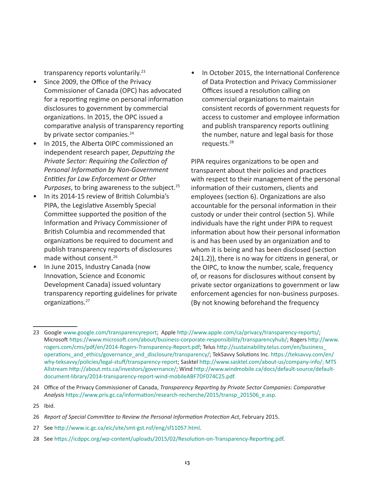transparency reports voluntarily.<sup>23</sup>

- Since 2009, the Office of the Privacy Commissioner of Canada (OPC) has advocated for a reporting regime on personal information disclosures to government by commercial organizations. In 2015, the OPC issued a comparative analysis of transparency reporting by private sector companies.<sup>24</sup>
- In 2015, the Alberta OIPC commissioned an independent research paper, *Deputizing the Private Sector: Requiring the Collection of Personal Information by Non-Government Entities for Law Enforcement or Other Purposes*, to bring awareness to the subject.<sup>25</sup>
- In its 2014-15 review of British Columbia's PIPA, the Legislative Assembly Special Committee supported the position of the Information and Privacy Commissioner of British Columbia and recommended that organizations be required to document and publish transparency reports of disclosures made without consent.26
- In June 2015, Industry Canada (now Innovation, Science and Economic Development Canada) issued voluntary transparency reporting guidelines for private organizations.<sup>27</sup>

• In October 2015, the International Conference of Data Protection and Privacy Commissioner Offices issued a resolution calling on commercial organizations to maintain consistent records of government requests for access to customer and employee information and publish transparency reports outlining the number, nature and legal basis for those requests.28

PIPA requires organizations to be open and transparent about their policies and practices with respect to their management of the personal information of their customers, clients and employees (section 6). Organizations are also accountable for the personal information in their custody or under their control (section 5). While individuals have the right under PIPA to request information about how their personal information is and has been used by an organization and to whom it is being and has been disclosed (section 24(1.2)), there is no way for citizens in general, or the OIPC, to know the number, scale, frequency of, or reasons for disclosures without consent by private sector organizations to government or law enforcement agencies for non-business purposes. (By not knowing beforehand the frequency

<sup>23</sup> Google<www.google.com/transparencyreport>; Apple<http://www.apple.com/ca/privacy/transparency-reports/>; Microsoft [https://www.microsoft.com/about/business-corporate-responsibility/transparencyhub/;](https://www.microsoft.com/about/business-corporate-responsibility/transparencyhub/) Rogers [http://www.](http://www.rogers.com/cms/pdf/en/2014-Rogers-Transparency-Report.pdf) [rogers.com/cms/pdf/en/2014-Rogers-Transparency-Report.pdf](http://www.rogers.com/cms/pdf/en/2014-Rogers-Transparency-Report.pdf); Telus [http://sustainability.telus.com/en/business\\_](http://sustainability.telus.com/en/business_operations_and_ethics/governance_and_disclosure/transparency/) [operations\\_and\\_ethics/governance\\_and\\_disclosure/transparency/](http://sustainability.telus.com/en/business_operations_and_ethics/governance_and_disclosure/transparency/); TekSavvy Solutions Inc. [https://teksavvy.com/en/](https://teksavvy.com/en/why-teksavvy/policies/legal-stuff/transparency-report) [why-teksavvy/policies/legal-stuff/transparency-report](https://teksavvy.com/en/why-teksavvy/policies/legal-stuff/transparency-report); Sasktel [http://www.sasktel.com/about-us/company-info/; MTS](http://www.sasktel.com/about-us/company-info/; MTS Allstream http://about.mts.ca/investors/governance/)  [Allstream http://about.mts.ca/investors/governance/;](http://www.sasktel.com/about-us/company-info/; MTS Allstream http://about.mts.ca/investors/governance/) Wind [http://www.windmobile.ca/docs/default-source/default](http://www.windmobile.ca/docs/default-source/default-document-library/2014-transparency-report-wind-mobileABF7DF074C25.pdf)[document-library/2014-transparency-report-wind-mobileABF7DF074C25.pdf](http://www.windmobile.ca/docs/default-source/default-document-library/2014-transparency-report-wind-mobileABF7DF074C25.pdf).

<sup>24</sup> Office of the Privacy Commissioner of Canada, *Transparency Reporting by Private Sector Companies: Comparative Analysis* [https://www.priv.gc.ca/information/research-recherche/2015/transp\\_201506\\_e.asp](https://www.priv.gc.ca/information/research-recherche/2015/transp_201506_e.asp).

<sup>25</sup> Ibid.

<sup>26</sup> *Report of Special Committee to Review the Personal Information Protection Act*, February 2015.

<sup>27</sup> See <http://www.ic.gc.ca/eic/site/smt-gst.nsf/eng/sf11057.html>.

<sup>28</sup> See [https://icdppc.org/wp-content/uploads/2015/02/Resolution-on-Transparency-Reporting.pdf.](https://icdppc.org/wp-content/uploads/2015/02/Resolution-on-Transparency-Reporting.pdf)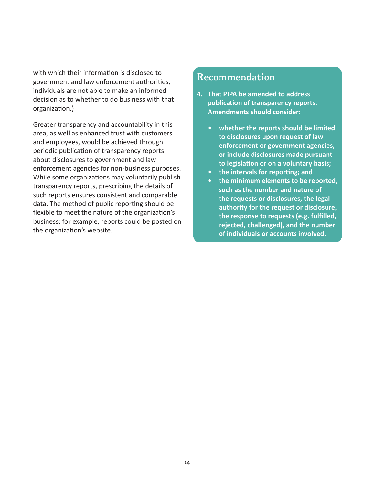with which their information is disclosed to government and law enforcement authorities, individuals are not able to make an informed decision as to whether to do business with that organization.)

Greater transparency and accountability in this area, as well as enhanced trust with customers and employees, would be achieved through periodic publication of transparency reports about disclosures to government and law enforcement agencies for non-business purposes. While some organizations may voluntarily publish transparency reports, prescribing the details of such reports ensures consistent and comparable data. The method of public reporting should be flexible to meet the nature of the organization's business; for example, reports could be posted on the organization's website.

### Recommendation

- **4. That PIPA be amended to address publication of transparency reports. Amendments should consider:** 
	- **• whether the reports should be limited to disclosures upon request of law enforcement or government agencies, or include disclosures made pursuant to legislation or on a voluntary basis;**
	- **• the intervals for reporting; and**
	- **• the minimum elements to be reported, such as the number and nature of the requests or disclosures, the legal authority for the request or disclosure, the response to requests (e.g. fulfilled, rejected, challenged), and the number of individuals or accounts involved.**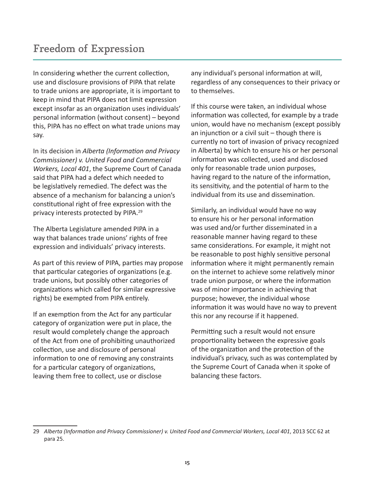<span id="page-16-0"></span>In considering whether the current collection, use and disclosure provisions of PIPA that relate to trade unions are appropriate, it is important to keep in mind that PIPA does not limit expression except insofar as an organization uses individuals' personal information (without consent) – beyond this, PIPA has no effect on what trade unions may say.

In its decision in *Alberta (Information and Privacy Commissioner) v. United Food and Commercial Workers, Local 401*, the Supreme Court of Canada said that PIPA had a defect which needed to be legislatively remedied. The defect was the absence of a mechanism for balancing a union's constitutional right of free expression with the privacy interests protected by PIPA.29

The Alberta Legislature amended PIPA in a way that balances trade unions' rights of free expression and individuals' privacy interests.

As part of this review of PIPA, parties may propose that particular categories of organizations (e.g. trade unions, but possibly other categories of organizations which called for similar expressive rights) be exempted from PIPA entirely.

If an exemption from the Act for any particular category of organization were put in place, the result would completely change the approach of the Act from one of prohibiting unauthorized collection, use and disclosure of personal information to one of removing any constraints for a particular category of organizations, leaving them free to collect, use or disclose

any individual's personal information at will, regardless of any consequences to their privacy or to themselves.

If this course were taken, an individual whose information was collected, for example by a trade union, would have no mechanism (except possibly an injunction or a civil suit – though there is currently no tort of invasion of privacy recognized in Alberta) by which to ensure his or her personal information was collected, used and disclosed only for reasonable trade union purposes, having regard to the nature of the information, its sensitivity, and the potential of harm to the individual from its use and dissemination.

Similarly, an individual would have no way to ensure his or her personal information was used and/or further disseminated in a reasonable manner having regard to these same considerations. For example, it might not be reasonable to post highly sensitive personal information where it might permanently remain on the internet to achieve some relatively minor trade union purpose, or where the information was of minor importance in achieving that purpose; however, the individual whose information it was would have no way to prevent this nor any recourse if it happened.

Permitting such a result would not ensure proportionality between the expressive goals of the organization and the protection of the individual's privacy, such as was contemplated by the Supreme Court of Canada when it spoke of balancing these factors.

<sup>29</sup> *Alberta (Information and Privacy Commissioner) v. United Food and Commercial Workers, Local 401*, 2013 SCC 62 at para 25.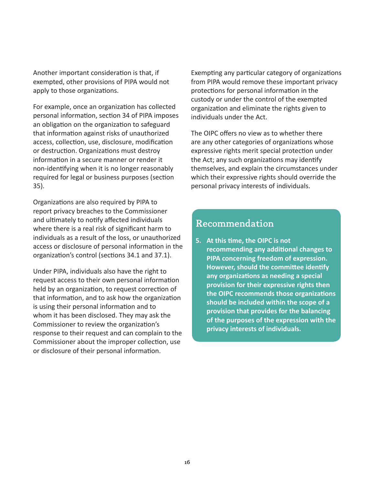Another important consideration is that, if exempted, other provisions of PIPA would not apply to those organizations.

For example, once an organization has collected personal information, section 34 of PIPA imposes an obligation on the organization to safeguard that information against risks of unauthorized access, collection, use, disclosure, modification or destruction. Organizations must destroy information in a secure manner or render it non-identifying when it is no longer reasonably required for legal or business purposes (section 35).

Organizations are also required by PIPA to report privacy breaches to the Commissioner and ultimately to notify affected individuals where there is a real risk of significant harm to individuals as a result of the loss, or unauthorized access or disclosure of personal information in the organization's control (sections 34.1 and 37.1).

Under PIPA, individuals also have the right to request access to their own personal information held by an organization, to request correction of that information, and to ask how the organization is using their personal information and to whom it has been disclosed. They may ask the Commissioner to review the organization's response to their request and can complain to the Commissioner about the improper collection, use or disclosure of their personal information.

Exempting any particular category of organizations from PIPA would remove these important privacy protections for personal information in the custody or under the control of the exempted organization and eliminate the rights given to individuals under the Act.

The OIPC offers no view as to whether there are any other categories of organizations whose expressive rights merit special protection under the Act; any such organizations may identify themselves, and explain the circumstances under which their expressive rights should override the personal privacy interests of individuals.

### Recommendation

**5. At this time, the OIPC is not recommending any additional changes to PIPA concerning freedom of expression. However, should the committee identify any organizations as needing a special provision for their expressive rights then the OIPC recommends those organizations should be included within the scope of a provision that provides for the balancing of the purposes of the expression with the privacy interests of individuals.**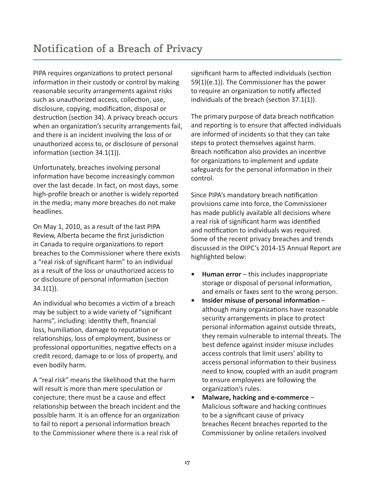<span id="page-18-0"></span>PIPA requires organizations to protect personal information in their custody or control by making reasonable security arrangements against risks such as unauthorized access, collection, use, disclosure, copying, modification, disposal or destruction (section 34). A privacy breach occurs when an organization's security arrangements fail, and there is an incident involving the loss of or unauthorized access to, or disclosure of personal information (section 34.1(1)).

Unfortunately, breaches involving personal information have become increasingly common over the last decade. In fact, on most days, some high-profile breach or another is widely reported in the media; many more breaches do not make headlines.

On May 1, 2010, as a result of the last PIPA Review, Alberta became the first jurisdiction in Canada to require organizations to report breaches to the Commissioner where there exists a "real risk of significant harm" to an individual as a result of the loss or unauthorized access to or disclosure of personal information (section 34.1(1)).

An individual who becomes a victim of a breach may be subject to a wide variety of "significant harms", including: identity theft, financial loss, humiliation, damage to reputation or relationships, loss of employment, business or professional opportunities, negative effects on a credit record, damage to or loss of property, and even bodily harm.

A "real risk" means the likelihood that the harm will result is more than mere speculation or conjecture; there must be a cause and effect relationship between the breach incident and the possible harm. It is an offence for an organization to fail to report a personal information breach to the Commissioner where there is a real risk of

significant harm to affected individuals (section 59(1)(e.1)). The Commissioner has the power to require an organization to notify affected individuals of the breach (section 37.1(1)).

The primary purpose of data breach notification and reporting is to ensure that affected individuals are informed of incidents so that they can take steps to protect themselves against harm. Breach notification also provides an incentive for organizations to implement and update safeguards for the personal information in their control.

Since PIPA's mandatory breach notification provisions came into force, the Commissioner has made publicly available all decisions where a real risk of significant harm was identified and notification to individuals was required. Some of the recent privacy breaches and trends discussed in the OIPC's 2014-15 Annual Report are highlighted below:

- **• Human error** this includes inappropriate storage or disposal of personal information, and emails or faxes sent to the wrong person.
- **• Insider misuse of personal information** although many organizations have reasonable security arrangements in place to protect personal information against outside threats, they remain vulnerable to internal threats. The best defence against insider misuse includes access controls that limit users' ability to access personal information to their business need to know, coupled with an audit program to ensure employees are following the organization's rules.
- **• Malware, hacking and e-commerce** Malicious software and hacking continues to be a significant cause of privacy breaches Recent breaches reported to the Commissioner by online retailers involved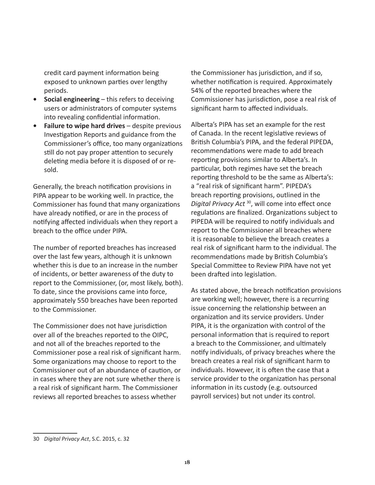credit card payment information being exposed to unknown parties over lengthy periods.

- **• Social engineering** this refers to deceiving users or administrators of computer systems into revealing confidential information.
- **• Failure to wipe hard drives** despite previous Investigation Reports and guidance from the Commissioner's office, too many organizations still do not pay proper attention to securely deleting media before it is disposed of or resold.

Generally, the breach notification provisions in PIPA appear to be working well. In practice, the Commissioner has found that many organizations have already notified, or are in the process of notifying affected individuals when they report a breach to the office under PIPA.

The number of reported breaches has increased over the last few years, although it is unknown whether this is due to an increase in the number of incidents, or better awareness of the duty to report to the Commissioner, (or, most likely, both). To date, since the provisions came into force, approximately 550 breaches have been reported to the Commissioner.

The Commissioner does not have jurisdiction over all of the breaches reported to the OIPC, and not all of the breaches reported to the Commissioner pose a real risk of significant harm. Some organizations may choose to report to the Commissioner out of an abundance of caution, or in cases where they are not sure whether there is a real risk of significant harm. The Commissioner reviews all reported breaches to assess whether

the Commissioner has jurisdiction, and if so, whether notification is required. Approximately 54% of the reported breaches where the Commissioner has jurisdiction, pose a real risk of significant harm to affected individuals.

Alberta's PIPA has set an example for the rest of Canada. In the recent legislative reviews of British Columbia's PIPA, and the federal PIPEDA, recommendations were made to add breach reporting provisions similar to Alberta's. In particular, both regimes have set the breach reporting threshold to be the same as Alberta's: a "real risk of significant harm". PIPEDA's breach reporting provisions, outlined in the *Digital Privacy Act* 30, will come into effect once regulations are finalized. Organizations subject to PIPEDA will be required to notify individuals and report to the Commissioner all breaches where it is reasonable to believe the breach creates a real risk of significant harm to the individual. The recommendations made by British Columbia's Special Committee to Review PIPA have not yet been drafted into legislation.

As stated above, the breach notification provisions are working well; however, there is a recurring issue concerning the relationship between an organization and its service providers. Under PIPA, it is the organization with control of the personal information that is required to report a breach to the Commissioner, and ultimately notify individuals, of privacy breaches where the breach creates a real risk of significant harm to individuals. However, it is often the case that a service provider to the organization has personal information in its custody (e.g. outsourced payroll services) but not under its control.

<sup>30</sup> *Digital Privacy Act*, S.C. 2015, c. 32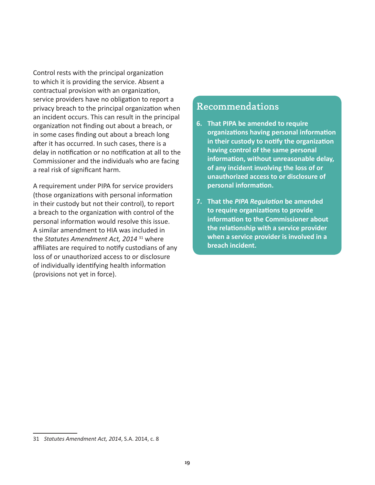Control rests with the principal organization to which it is providing the service. Absent a contractual provision with an organization, service providers have no obligation to report a privacy breach to the principal organization when an incident occurs. This can result in the principal organization not finding out about a breach, or in some cases finding out about a breach long after it has occurred. In such cases, there is a delay in notification or no notification at all to the Commissioner and the individuals who are facing a real risk of significant harm.

A requirement under PIPA for service providers (those organizations with personal information in their custody but not their control), to report a breach to the organization with control of the personal information would resolve this issue. A similar amendment to HIA was included in the *Statutes Amendment Act, 2014* 31 where affiliates are required to notify custodians of any loss of or unauthorized access to or disclosure of individually identifying health information (provisions not yet in force).

# Recommendations

- **6. That PIPA be amended to require organizations having personal information in their custody to notify the organization having control of the same personal information, without unreasonable delay, of any incident involving the loss of or unauthorized access to or disclosure of personal information.**
- **7. That the** *PIPA Regulation* **be amended to require organizations to provide information to the Commissioner about the relationship with a service provider when a service provider is involved in a breach incident.**

<sup>31</sup> *Statutes Amendment Act, 2014*, S.A. 2014, c. 8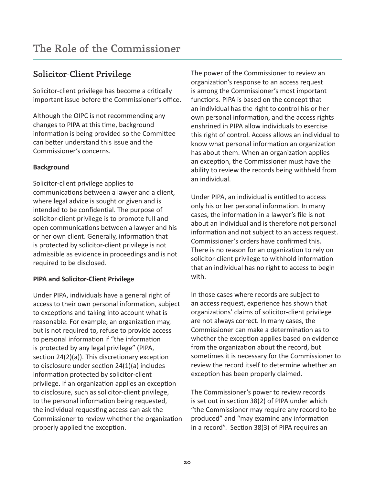# <span id="page-21-0"></span>Solicitor-Client Privilege

Solicitor-client privilege has become a critically important issue before the Commissioner's office.

Although the OIPC is not recommending any changes to PIPA at this time, background information is being provided so the Committee can better understand this issue and the Commissioner's concerns.

#### **Background**

Solicitor-client privilege applies to communications between a lawyer and a client, where legal advice is sought or given and is intended to be confidential. The purpose of solicitor-client privilege is to promote full and open communications between a lawyer and his or her own client. Generally, information that is protected by solicitor-client privilege is not admissible as evidence in proceedings and is not required to be disclosed.

#### **PIPA and Solicitor-Client Privilege**

Under PIPA, individuals have a general right of access to their own personal information, subject to exceptions and taking into account what is reasonable. For example, an organization may, but is not required to, refuse to provide access to personal information if "the information is protected by any legal privilege" (PIPA, section 24(2)(a)). This discretionary exception to disclosure under section 24(1)(a) includes information protected by solicitor-client privilege. If an organization applies an exception to disclosure, such as solicitor-client privilege, to the personal information being requested, the individual requesting access can ask the Commissioner to review whether the organization properly applied the exception.

The power of the Commissioner to review an organization's response to an access request is among the Commissioner's most important functions. PIPA is based on the concept that an individual has the right to control his or her own personal information, and the access rights enshrined in PIPA allow individuals to exercise this right of control. Access allows an individual to know what personal information an organization has about them. When an organization applies an exception, the Commissioner must have the ability to review the records being withheld from an individual.

Under PIPA, an individual is entitled to access only his or her personal information. In many cases, the information in a lawyer's file is not about an individual and is therefore not personal information and not subject to an access request. Commissioner's orders have confirmed this. There is no reason for an organization to rely on solicitor-client privilege to withhold information that an individual has no right to access to begin with.

In those cases where records are subject to an access request, experience has shown that organizations' claims of solicitor-client privilege are not always correct. In many cases, the Commissioner can make a determination as to whether the exception applies based on evidence from the organization about the record, but sometimes it is necessary for the Commissioner to review the record itself to determine whether an exception has been properly claimed.

The Commissioner's power to review records is set out in section 38(2) of PIPA under which "the Commissioner may require any record to be produced" and "may examine any information in a record". Section 38(3) of PIPA requires an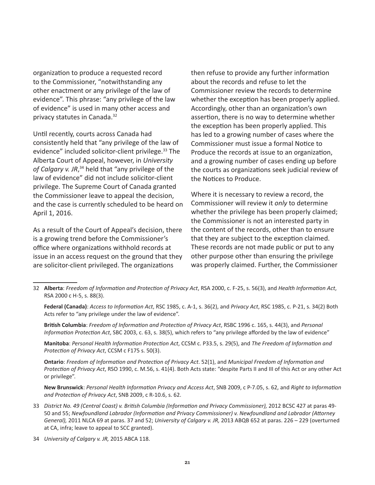organization to produce a requested record to the Commissioner, "notwithstanding any other enactment or any privilege of the law of evidence". This phrase: "any privilege of the law of evidence" is used in many other access and privacy statutes in Canada.32

Until recently, courts across Canada had consistently held that "any privilege of the law of evidence" included solicitor-client privilege.<sup>33</sup> The Alberta Court of Appeal, however, in *University of Calgary v. JR*, 34 held that "any privilege of the law of evidence" did not include solicitor-client privilege. The Supreme Court of Canada granted the Commissioner leave to appeal the decision, and the case is currently scheduled to be heard on April 1, 2016.

As a result of the Court of Appeal's decision, there is a growing trend before the Commissioner's office where organizations withhold records at issue in an access request on the ground that they are solicitor-client privileged. The organizations

then refuse to provide any further information about the records and refuse to let the Commissioner review the records to determine whether the exception has been properly applied. Accordingly, other than an organization's own assertion, there is no way to determine whether the exception has been properly applied. This has led to a growing number of cases where the Commissioner must issue a formal Notice to Produce the records at issue to an organization, and a growing number of cases ending up before the courts as organizations seek judicial review of the Notices to Produce.

Where it is necessary to review a record, the Commissioner will review it *only* to determine whether the privilege has been properly claimed; the Commissioner is not an interested party in the content of the records, other than to ensure that they are subject to the exception claimed. These records are not made public or put to any other purpose other than ensuring the privilege was properly claimed. Further, the Commissioner

- 32 **Alberta**: *Freedom of Information and Protection of Privacy Act*, RSA 2000, c. F-25, s. 56(3), and *Health Information Act*, RSA 2000 c H-5, s. 88(3).
	- **Federal (Canada)**: *Access to Information Act*, RSC 1985, c. A-1, s. 36(2), and *Privacy Act*, RSC 1985, c. P-21, s. 34(2) Both Acts refer to "any privilege under the law of evidence".

**British Columbia**: *Freedom of Information and Protection of Privacy Act*, RSBC 1996 c. 165, s. 44(3), and *Personal Information Protection Act*, SBC 2003, c. 63, s. 38(5), which refers to "any privilege afforded by the law of evidence"

**Manitoba**: *Personal Health Information Protection Act*, CCSM c. P33.5, s. 29(5), and *The Freedom of Information and Protection of Privacy Act*, CCSM c F175 s. 50(3).

**Ontario**: *Freedom of Information and Protection of Privacy Act*. 52(1), and *Municipal Freedom of Information and Protection of Privacy Act*, RSO 1990, c. M.56, s. 41(4). Both Acts state: "despite Parts II and III of this Act or any other Act or privilege".

**New Brunswick**: *Personal Health Information Privacy and Access Act*, SNB 2009, c P-7.05, s. 62, and *Right to Information and Protection of Privacy Act*, SNB 2009, c R-10.6, s. 62.

- 33 *District No. 49 (Central Coast) v. British Columbia (Information and Privacy Commissioner),* 2012 BCSC 427 at paras 49- 50 and 55; *Newfoundland Labrador (Information and Privacy Commissioner) v. Newfoundland and Labrador (Attorney General),* 2011 NLCA 69 at paras. 37 and 52; *University of Calgary v. JR,* 2013 ABQB 652 at paras. 226 – 229 (overturned at CA, infra; leave to appeal to SCC granted).
- 34 *University of Calgary v. JR,* 2015 ABCA 118.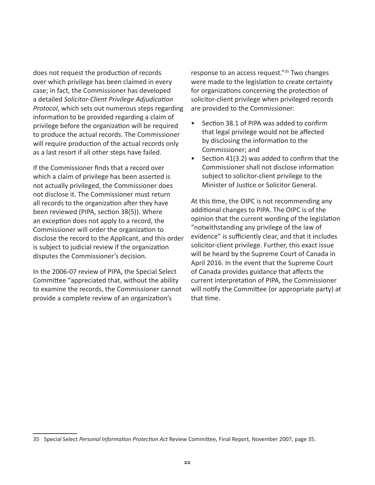does not request the production of records over which privilege has been claimed in every case; in fact, the Commissioner has developed a detailed *Solicitor-Client Privilege Adjudication Protocol*, which sets out numerous steps regarding information to be provided regarding a claim of privilege before the organization will be required to produce the actual records. The Commissioner will require production of the actual records only as a last resort if all other steps have failed.

If the Commissioner finds that a record over which a claim of privilege has been asserted is not actually privileged, the Commissioner does not disclose it. The Commissioner must return all records to the organization after they have been reviewed (PIPA, section 38(5)). Where an exception does not apply to a record, the Commissioner will order the organization to disclose the record to the Applicant, and this order is subject to judicial review if the organization disputes the Commissioner's decision.

In the 2006-07 review of PIPA, the Special Select Committee "appreciated that, without the ability to examine the records, the Commissioner cannot provide a complete review of an organization's

response to an access request."35 Two changes were made to the legislation to create certainty for organizations concerning the protection of solicitor-client privilege when privileged records are provided to the Commissioner:

- Section 38.1 of PIPA was added to confirm that legal privilege would not be affected by disclosing the information to the Commissioner; and
- Section 41(3.2) was added to confirm that the Commissioner shall not disclose information subject to solicitor-client privilege to the Minister of Justice or Solicitor General.

At this time, the OIPC is not recommending any additional changes to PIPA. The OIPC is of the opinion that the current wording of the legislation "notwithstanding any privilege of the law of evidence" is sufficiently clear, and that it includes solicitor-client privilege. Further, this exact issue will be heard by the Supreme Court of Canada in April 2016. In the event that the Supreme Court of Canada provides guidance that affects the current interpretation of PIPA, the Commissioner will notify the Committee (or appropriate party) at that time.

<sup>35</sup> Special Select *Personal Information Protection Act* Review Committee, Final Report, November 2007, page 35.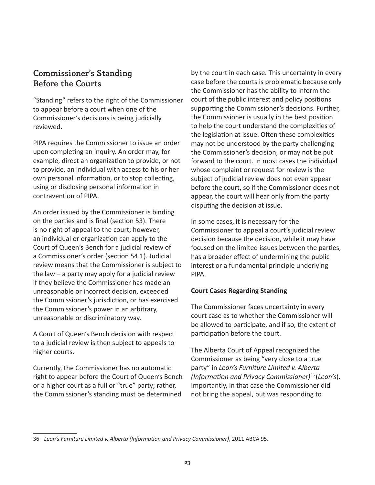### <span id="page-24-0"></span>Commissioner's Standing Before the Courts

"Standing" refers to the right of the Commissioner to appear before a court when one of the Commissioner's decisions is being judicially reviewed.

PIPA requires the Commissioner to issue an order upon completing an inquiry. An order may, for example, direct an organization to provide, or not to provide, an individual with access to his or her own personal information, or to stop collecting, using or disclosing personal information in contravention of PIPA.

An order issued by the Commissioner is binding on the parties and is final (section 53). There is no right of appeal to the court; however, an individual or organization can apply to the Court of Queen's Bench for a judicial review of a Commissioner's order (section 54.1). Judicial review means that the Commissioner is subject to the law  $-$  a party may apply for a judicial review if they believe the Commissioner has made an unreasonable or incorrect decision, exceeded the Commissioner's jurisdiction, or has exercised the Commissioner's power in an arbitrary, unreasonable or discriminatory way.

A Court of Queen's Bench decision with respect to a judicial review is then subject to appeals to higher courts.

Currently, the Commissioner has no automatic right to appear before the Court of Queen's Bench or a higher court as a full or "true" party; rather, the Commissioner's standing must be determined

by the court in each case. This uncertainty in every case before the courts is problematic because only the Commissioner has the ability to inform the court of the public interest and policy positions supporting the Commissioner's decisions. Further, the Commissioner is usually in the best position to help the court understand the complexities of the legislation at issue. Often these complexities may not be understood by the party challenging the Commissioner's decision, or may not be put forward to the court. In most cases the individual whose complaint or request for review is the subject of judicial review does not even appear before the court, so if the Commissioner does not appear, the court will hear only from the party disputing the decision at issue.

In some cases, it is necessary for the Commissioner to appeal a court's judicial review decision because the decision, while it may have focused on the limited issues between the parties, has a broader effect of undermining the public interest or a fundamental principle underlying PIPA.

#### **Court Cases Regarding Standing**

The Commissioner faces uncertainty in every court case as to whether the Commissioner will be allowed to participate, and if so, the extent of participation before the court.

The Alberta Court of Appeal recognized the Commissioner as being "very close to a true party" in *Leon's Furniture Limited v. Alberta (Information and Privacy Commissioner)*36 (*Leon's*). Importantly, in that case the Commissioner did not bring the appeal, but was responding to

<sup>36</sup> *Leon's Furniture Limited v. Alberta (Information and Privacy Commissioner)*, 2011 ABCA 95.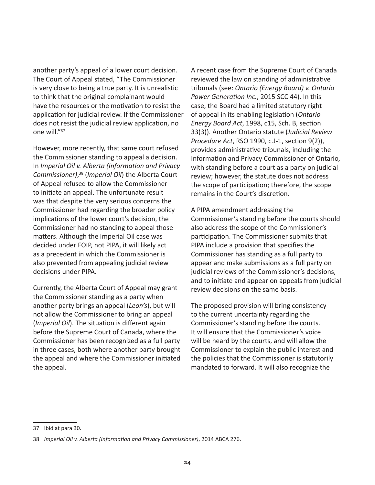another party's appeal of a lower court decision. The Court of Appeal stated, "The Commissioner is very close to being a true party. It is unrealistic to think that the original complainant would have the resources or the motivation to resist the application for judicial review. If the Commissioner does not resist the judicial review application, no one will."37

However, more recently, that same court refused the Commissioner standing to appeal a decision. In *Imperial Oil v. Alberta (Information and Privacy Commissioner)*, 38 (*Imperial Oil*) the Alberta Court of Appeal refused to allow the Commissioner to initiate an appeal. The unfortunate result was that despite the very serious concerns the Commissioner had regarding the broader policy implications of the lower court's decision, the Commissioner had no standing to appeal those matters. Although the Imperial Oil case was decided under FOIP, not PIPA, it will likely act as a precedent in which the Commissioner is also prevented from appealing judicial review decisions under PIPA.

Currently, the Alberta Court of Appeal may grant the Commissioner standing as a party when another party brings an appeal (*Leon's*), but will not allow the Commissioner to bring an appeal (*Imperial Oil*). The situation is different again before the Supreme Court of Canada, where the Commissioner has been recognized as a full party in three cases, both where another party brought the appeal and where the Commissioner initiated the appeal.

A recent case from the Supreme Court of Canada reviewed the law on standing of administrative tribunals (see: *Ontario (Energy Board) v. Ontario Power Generation Inc.*, 2015 SCC 44). In this case, the Board had a limited statutory right of appeal in its enabling legislation (*Ontario Energy Board Act*, 1998, c15, Sch. B, section 33(3)). Another Ontario statute (*Judicial Review Procedure Act*, RSO 1990, c.J-1, section 9(2)), provides administrative tribunals, including the Information and Privacy Commissioner of Ontario, with standing before a court as a party on judicial review; however, the statute does not address the scope of participation; therefore, the scope remains in the Court's discretion.

A PIPA amendment addressing the Commissioner's standing before the courts should also address the scope of the Commissioner's participation. The Commissioner submits that PIPA include a provision that specifies the Commissioner has standing as a full party to appear and make submissions as a full party on judicial reviews of the Commissioner's decisions, and to initiate and appear on appeals from judicial review decisions on the same basis.

The proposed provision will bring consistency to the current uncertainty regarding the Commissioner's standing before the courts. It will ensure that the Commissioner's voice will be heard by the courts, and will allow the Commissioner to explain the public interest and the policies that the Commissioner is statutorily mandated to forward. It will also recognize the

<sup>37</sup> Ibid at para 30.

<sup>38</sup> *Imperial Oil v. Alberta (Information and Privacy Commissioner)*, 2014 ABCA 276.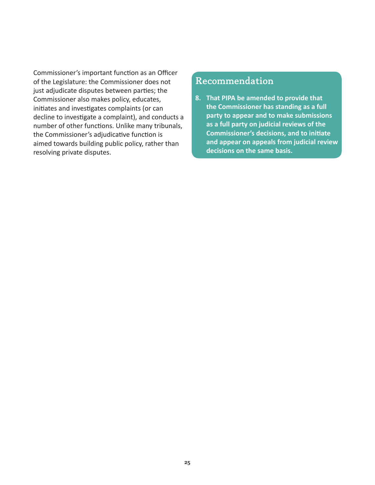Commissioner's important function as an Officer of the Legislature: the Commissioner does not just adjudicate disputes between parties; the Commissioner also makes policy, educates, initiates and investigates complaints (or can decline to investigate a complaint), and conducts a number of other functions. Unlike many tribunals, the Commissioner's adjudicative function is aimed towards building public policy, rather than resolving private disputes.

## Recommendation

**8. That PIPA be amended to provide that the Commissioner has standing as a full party to appear and to make submissions as a full party on judicial reviews of the Commissioner's decisions, and to initiate and appear on appeals from judicial review decisions on the same basis.**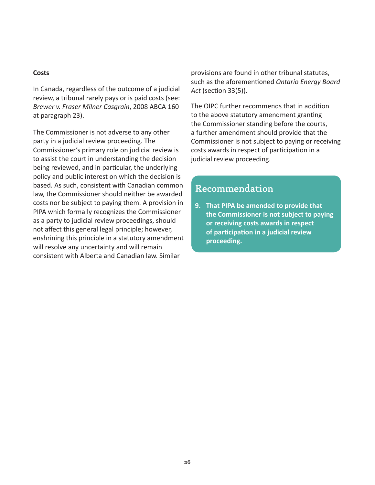#### **Costs**

In Canada, regardless of the outcome of a judicial review, a tribunal rarely pays or is paid costs (see: *Brewer v. Fraser Milner Casgrain*, 2008 ABCA 160 at paragraph 23).

The Commissioner is not adverse to any other party in a judicial review proceeding. The Commissioner's primary role on judicial review is to assist the court in understanding the decision being reviewed, and in particular, the underlying policy and public interest on which the decision is based. As such, consistent with Canadian common law, the Commissioner should neither be awarded costs nor be subject to paying them. A provision in PIPA which formally recognizes the Commissioner as a party to judicial review proceedings, should not affect this general legal principle; however, enshrining this principle in a statutory amendment will resolve any uncertainty and will remain consistent with Alberta and Canadian law. Similar

provisions are found in other tribunal statutes, such as the aforementioned *Ontario Energy Board Act* (section 33(5)).

The OIPC further recommends that in addition to the above statutory amendment granting the Commissioner standing before the courts, a further amendment should provide that the Commissioner is not subject to paying or receiving costs awards in respect of participation in a judicial review proceeding.

# Recommendation

**9. That PIPA be amended to provide that the Commissioner is not subject to paying or receiving costs awards in respect of participation in a judicial review proceeding.**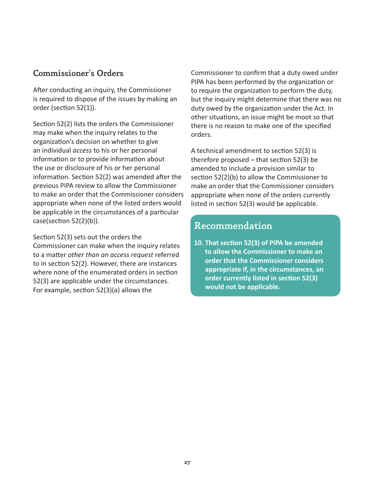### <span id="page-28-0"></span>Commissioner's Orders

After conducting an inquiry, the Commissioner is required to dispose of the issues by making an order (section 52(1)).

Section 52(2) lists the orders the Commissioner may make when the inquiry relates to the organization's decision on whether to give an individual *access* to his or her personal information or to provide information about the use or disclosure of his or her personal information. Section 52(2) was amended after the previous PIPA review to allow the Commissioner to make an order that the Commissioner considers appropriate when none of the listed orders would be applicable in the circumstances of a particular case(section 52(2)(b)).

Section 52(3) sets out the orders the

Commissioner can make when the inquiry relates to a matter *other than an access request* referred to in section 52(2). However, there are instances where none of the enumerated orders in section 52(3) are applicable under the circumstances. For example, section 52(3)(a) allows the

Commissioner to confirm that a duty owed under PIPA has been performed by the organization or to require the organization to perform the duty, but the inquiry might determine that there was no duty owed by the organization under the Act. In other situations, an issue might be moot so that there is no reason to make one of the specified orders.

A technical amendment to section 52(3) is therefore proposed – that section 52(3) be amended to include a provision similar to section 52(2)(b) to allow the Commissioner to make an order that the Commissioner considers appropriate when none of the orders currently listed in section 52(3) would be applicable.

# Recommendation

**10. That section 52(3) of PIPA be amended to allow the Commissioner to make an order that the Commissioner considers appropriate if, in the circumstances, an order currently listed in section 52(3) would not be applicable.**